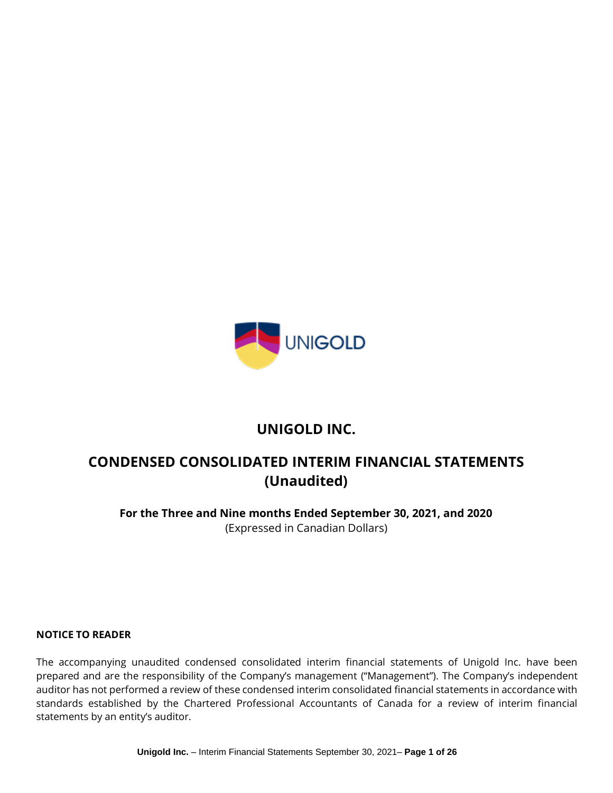

# **UNIGOLD INC.**

# **CONDENSED CONSOLIDATED INTERIM FINANCIAL STATEMENTS (Unaudited)**

**For the Three and Nine months Ended September 30, 2021, and 2020** (Expressed in Canadian Dollars)

#### **NOTICE TO READER**

The accompanying unaudited condensed consolidated interim financial statements of Unigold Inc. have been prepared and are the responsibility of the Company's management ("Management"). The Company's independent auditor has not performed a review of these condensed interim consolidated financial statements in accordance with standards established by the Chartered Professional Accountants of Canada for a review of interim financial statements by an entity's auditor.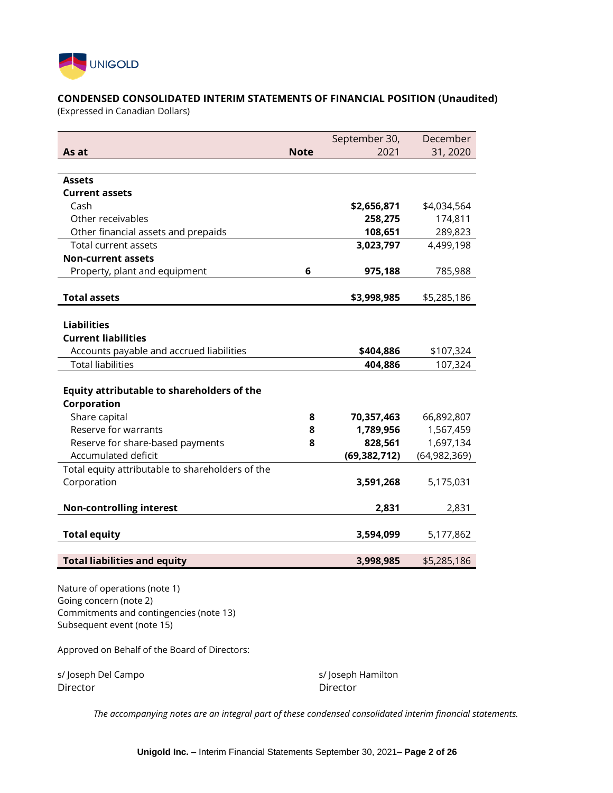

## **CONDENSED CONSOLIDATED INTERIM STATEMENTS OF FINANCIAL POSITION (Unaudited)**

(Expressed in Canadian Dollars)

|                                                   |             | September 30,  | December       |
|---------------------------------------------------|-------------|----------------|----------------|
| As at                                             | <b>Note</b> | 2021           | 31, 2020       |
|                                                   |             |                |                |
| Assets                                            |             |                |                |
| <b>Current assets</b>                             |             |                |                |
| Cash                                              |             | \$2,656,871    | \$4,034,564    |
| Other receivables                                 |             | 258,275        | 174,811        |
| Other financial assets and prepaids               |             | 108,651        | 289,823        |
| Total current assets                              |             | 3,023,797      | 4,499,198      |
| <b>Non-current assets</b>                         |             |                |                |
| Property, plant and equipment                     | 6           | 975,188        | 785,988        |
| <b>Total assets</b>                               |             | \$3,998,985    | \$5,285,186    |
|                                                   |             |                |                |
| <b>Liabilities</b>                                |             |                |                |
| <b>Current liabilities</b>                        |             |                |                |
| Accounts payable and accrued liabilities          |             | \$404,886      | \$107,324      |
| <b>Total liabilities</b>                          |             | 404,886        | 107,324        |
|                                                   |             |                |                |
| <b>Equity attributable to shareholders of the</b> |             |                |                |
| Corporation                                       |             |                |                |
| Share capital                                     | 8           | 70,357,463     | 66,892,807     |
| Reserve for warrants                              | 8           | 1,789,956      | 1,567,459      |
| Reserve for share-based payments                  | 8           | 828,561        | 1,697,134      |
| Accumulated deficit                               |             | (69, 382, 712) | (64, 982, 369) |
| Total equity attributable to shareholders of the  |             |                |                |
| Corporation                                       |             | 3,591,268      | 5,175,031      |
| <b>Non-controlling interest</b>                   |             | 2,831          | 2,831          |
|                                                   |             |                |                |
| <b>Total equity</b>                               |             | 3,594,099      | 5,177,862      |
| <b>Total liabilities and equity</b>               |             | 3,998,985      | \$5,285,186    |
|                                                   |             |                |                |
| Nature of operations (note 1)                     |             |                |                |
| Going concern (note 2)                            |             |                |                |

Going concern (note 2) Commitments and contingencies (note 13) Subsequent event (note 15)

Approved on Behalf of the Board of Directors:

s/Joseph Del Campo s/Joseph Hamilton Director Director

*The accompanying notes are an integral part of these condensed consolidated interim financial statements.*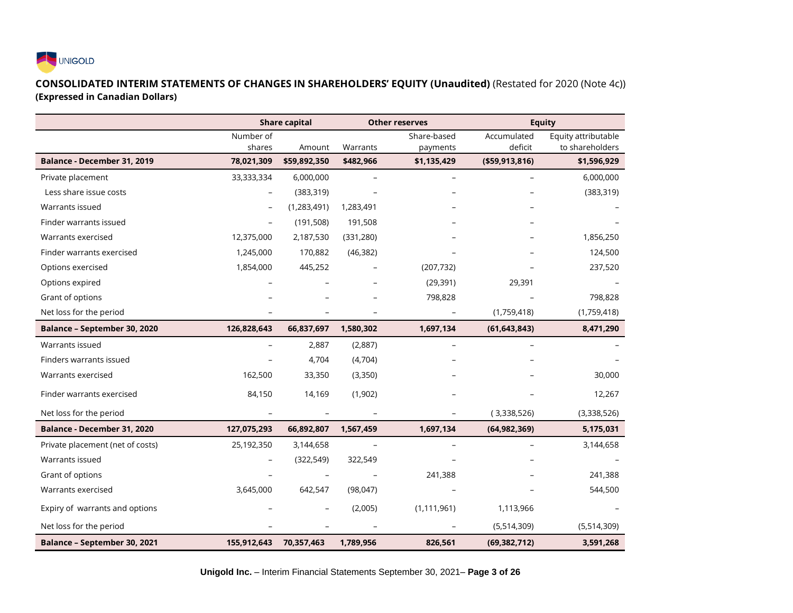

## **CONSOLIDATED INTERIM STATEMENTS OF CHANGES IN SHAREHOLDERS' EQUITY (Unaudited)** (Restated for 2020 (Note 4c)) **(Expressed in Canadian Dollars)**

|                                  |             | <b>Share capital</b> |                          | <b>Other reserves</b>    |                          | <b>Equity</b>       |
|----------------------------------|-------------|----------------------|--------------------------|--------------------------|--------------------------|---------------------|
|                                  | Number of   |                      |                          | Share-based              | Accumulated              | Equity attributable |
|                                  | shares      | Amount               | Warrants                 | payments                 | deficit                  | to shareholders     |
| Balance - December 31, 2019      | 78,021,309  | \$59,892,350         | \$482,966                | \$1,135,429              | ( \$59, 913, 816)        | \$1,596,929         |
| Private placement                | 33,333,334  | 6,000,000            | $\overline{\phantom{a}}$ | $\overline{\phantom{a}}$ | $\overline{\phantom{0}}$ | 6,000,000           |
| Less share issue costs           |             | (383, 319)           |                          |                          |                          | (383, 319)          |
| Warrants issued                  |             | (1, 283, 491)        | 1,283,491                |                          |                          |                     |
| Finder warrants issued           |             | (191, 508)           | 191,508                  |                          |                          |                     |
| Warrants exercised               | 12,375,000  | 2,187,530            | (331, 280)               |                          |                          | 1,856,250           |
| Finder warrants exercised        | 1,245,000   | 170,882              | (46, 382)                |                          |                          | 124,500             |
| Options exercised                | 1,854,000   | 445,252              |                          | (207, 732)               |                          | 237,520             |
| Options expired                  |             |                      | $\overline{\phantom{0}}$ | (29, 391)                | 29,391                   |                     |
| Grant of options                 |             |                      |                          | 798,828                  |                          | 798,828             |
| Net loss for the period          |             |                      |                          |                          | (1,759,418)              | (1,759,418)         |
| Balance - September 30, 2020     | 126,828,643 | 66,837,697           | 1,580,302                | 1,697,134                | (61, 643, 843)           | 8,471,290           |
| Warrants issued                  |             | 2,887                | (2,887)                  |                          |                          |                     |
| Finders warrants issued          |             | 4,704                | (4,704)                  |                          |                          |                     |
| Warrants exercised               | 162,500     | 33,350               | (3,350)                  |                          |                          | 30,000              |
| Finder warrants exercised        | 84,150      | 14,169               | (1,902)                  |                          |                          | 12,267              |
| Net loss for the period          |             |                      |                          |                          | (3,338,526)              | (3,338,526)         |
| Balance - December 31, 2020      | 127,075,293 | 66,892,807           | 1,567,459                | 1,697,134                | (64, 982, 369)           | 5,175,031           |
| Private placement (net of costs) | 25,192,350  | 3,144,658            | $\overline{\phantom{a}}$ | $\overline{\phantom{0}}$ |                          | 3,144,658           |
| Warrants issued                  |             | (322, 549)           | 322,549                  |                          |                          |                     |
| Grant of options                 |             |                      |                          | 241,388                  |                          | 241,388             |
| Warrants exercised               | 3,645,000   | 642,547              | (98, 047)                |                          |                          | 544,500             |
| Expiry of warrants and options   |             |                      | (2,005)                  | (1, 111, 961)            | 1,113,966                |                     |
| Net loss for the period          |             |                      |                          |                          | (5,514,309)              | (5,514,309)         |
| Balance - September 30, 2021     | 155,912,643 | 70,357,463           | 1,789,956                | 826,561                  | (69, 382, 712)           | 3,591,268           |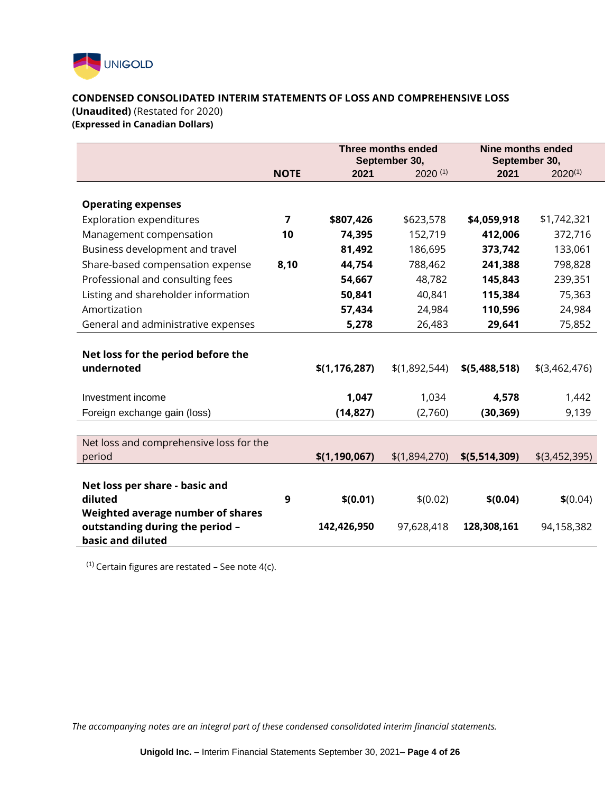

#### **CONDENSED CONSOLIDATED INTERIM STATEMENTS OF LOSS AND COMPREHENSIVE LOSS**

**(Unaudited)** (Restated for 2020)

**(Expressed in Canadian Dollars)** 

|                                           |                | Three months ended<br>September 30, |               | Nine months ended<br>September 30, |                 |
|-------------------------------------------|----------------|-------------------------------------|---------------|------------------------------------|-----------------|
|                                           | <b>NOTE</b>    | 2021                                | $2020^{(1)}$  | 2021                               | $2020^{(1)}$    |
|                                           |                |                                     |               |                                    |                 |
| <b>Operating expenses</b>                 |                |                                     |               |                                    |                 |
| <b>Exploration expenditures</b>           | $\overline{ }$ | \$807,426                           | \$623,578     | \$4,059,918                        | \$1,742,321     |
| Management compensation                   | 10             | 74,395                              | 152,719       | 412,006                            | 372,716         |
| Business development and travel           |                | 81,492                              | 186,695       | 373,742                            | 133,061         |
| Share-based compensation expense          | 8,10           | 44,754                              | 788,462       | 241,388                            | 798,828         |
| Professional and consulting fees          |                | 54,667                              | 48,782        | 145,843                            | 239,351         |
| Listing and shareholder information       |                | 50,841                              | 40,841        | 115,384                            | 75,363          |
| Amortization                              |                | 57,434                              | 24,984        | 110,596                            | 24,984          |
| General and administrative expenses       |                | 5,278                               | 26,483        | 29,641                             | 75,852          |
|                                           |                |                                     |               |                                    |                 |
| Net loss for the period before the        |                |                                     |               |                                    |                 |
| undernoted                                |                | \$(1, 176, 287)                     | \$(1,892,544) | \$(5,488,518)                      | $$$ (3,462,476) |
|                                           |                |                                     |               |                                    |                 |
| Investment income                         |                | 1,047                               | 1,034         | 4,578                              | 1,442           |
| Foreign exchange gain (loss)              |                | (14, 827)                           | (2,760)       | (30, 369)                          | 9,139           |
|                                           |                |                                     |               |                                    |                 |
| Net loss and comprehensive loss for the   |                |                                     |               |                                    |                 |
| period                                    |                | \$(1, 190, 067)                     | \$(1,894,270) | \$(5,514,309)                      | $$$ (3,452,395) |
|                                           |                |                                     |               |                                    |                 |
| Net loss per share - basic and<br>diluted | 9              | \$(0.01)                            | \$(0.02)      | \$(0.04)                           | \$(0.04)        |
| Weighted average number of shares         |                |                                     |               |                                    |                 |
| outstanding during the period -           |                | 142,426,950                         | 97,628,418    | 128,308,161                        | 94,158,382      |
| basic and diluted                         |                |                                     |               |                                    |                 |

 $(1)$  Certain figures are restated – See note 4(c).

*The accompanying notes are an integral part of these condensed consolidated interim financial statements.*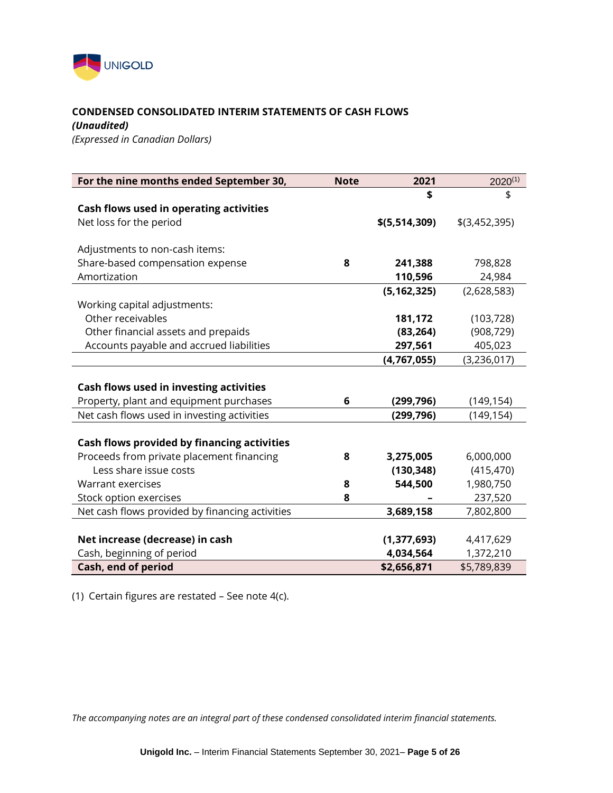

## **CONDENSED CONSOLIDATED INTERIM STATEMENTS OF CASH FLOWS**

*(Unaudited)*

*(Expressed in Canadian Dollars)* 

| For the nine months ended September 30,         | <b>Note</b> | 2021          | $2020^{(1)}$    |
|-------------------------------------------------|-------------|---------------|-----------------|
|                                                 |             | \$            | \$              |
| Cash flows used in operating activities         |             |               |                 |
| Net loss for the period                         |             | \$(5,514,309) | $$$ (3,452,395) |
|                                                 |             |               |                 |
| Adjustments to non-cash items:                  |             |               |                 |
| Share-based compensation expense                | 8           | 241,388       | 798,828         |
| Amortization                                    |             | 110,596       | 24,984          |
|                                                 |             | (5, 162, 325) | (2,628,583)     |
| Working capital adjustments:                    |             |               |                 |
| Other receivables                               |             | 181,172       | (103, 728)      |
| Other financial assets and prepaids             |             | (83, 264)     | (908, 729)      |
| Accounts payable and accrued liabilities        |             | 297,561       | 405,023         |
|                                                 |             | (4, 767, 055) | (3, 236, 017)   |
|                                                 |             |               |                 |
| Cash flows used in investing activities         |             |               |                 |
| Property, plant and equipment purchases         | 6           | (299, 796)    | (149, 154)      |
| Net cash flows used in investing activities     |             | (299, 796)    | (149, 154)      |
|                                                 |             |               |                 |
| Cash flows provided by financing activities     |             |               |                 |
| Proceeds from private placement financing       | 8           | 3,275,005     | 6,000,000       |
| Less share issue costs                          |             | (130, 348)    | (415, 470)      |
| Warrant exercises                               | 8           | 544,500       | 1,980,750       |
| Stock option exercises                          | 8           |               | 237,520         |
| Net cash flows provided by financing activities |             | 3,689,158     | 7,802,800       |
|                                                 |             |               |                 |
| Net increase (decrease) in cash                 |             | (1, 377, 693) | 4,417,629       |
| Cash, beginning of period                       |             | 4,034,564     | 1,372,210       |
| Cash, end of period                             |             | \$2,656,871   | \$5,789,839     |

(1) Certain figures are restated – See note 4(c).

*The accompanying notes are an integral part of these condensed consolidated interim financial statements.*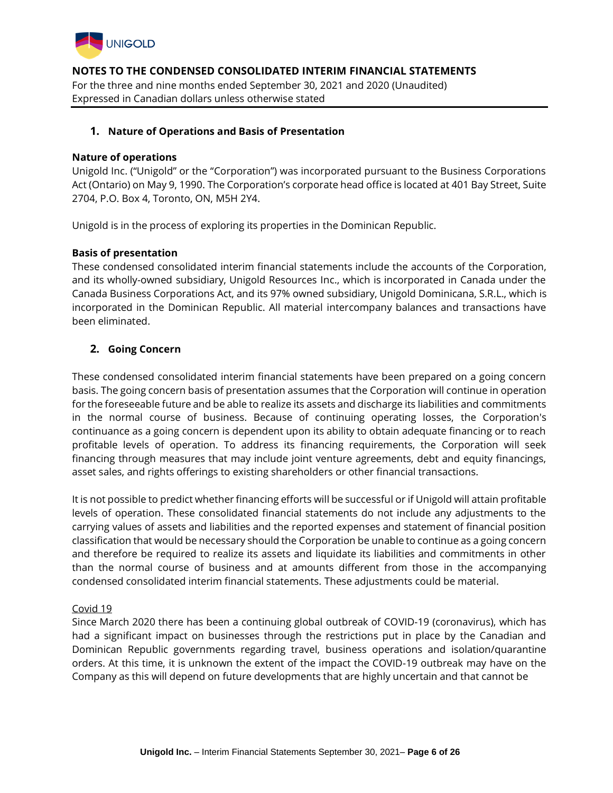

For the three and nine months ended September 30, 2021 and 2020 (Unaudited) Expressed in Canadian dollars unless otherwise stated

## **1. Nature of Operations and Basis of Presentation**

#### **Nature of operations**

Unigold Inc. ("Unigold" or the "Corporation") was incorporated pursuant to the Business Corporations Act (Ontario) on May 9, 1990. The Corporation's corporate head office is located at 401 Bay Street, Suite 2704, P.O. Box 4, Toronto, ON, M5H 2Y4.

Unigold is in the process of exploring its properties in the Dominican Republic.

## **Basis of presentation**

These condensed consolidated interim financial statements include the accounts of the Corporation, and its wholly-owned subsidiary, Unigold Resources Inc., which is incorporated in Canada under the Canada Business Corporations Act, and its 97% owned subsidiary, Unigold Dominicana, S.R.L., which is incorporated in the Dominican Republic. All material intercompany balances and transactions have been eliminated.

## **2. Going Concern**

These condensed consolidated interim financial statements have been prepared on a going concern basis. The going concern basis of presentation assumes that the Corporation will continue in operation for the foreseeable future and be able to realize its assets and discharge its liabilities and commitments in the normal course of business. Because of continuing operating losses, the Corporation's continuance as a going concern is dependent upon its ability to obtain adequate financing or to reach profitable levels of operation. To address its financing requirements, the Corporation will seek financing through measures that may include joint venture agreements, debt and equity financings, asset sales, and rights offerings to existing shareholders or other financial transactions.

It is not possible to predict whether financing efforts will be successful or if Unigold will attain profitable levels of operation. These consolidated financial statements do not include any adjustments to the carrying values of assets and liabilities and the reported expenses and statement of financial position classification that would be necessary should the Corporation be unable to continue as a going concern and therefore be required to realize its assets and liquidate its liabilities and commitments in other than the normal course of business and at amounts different from those in the accompanying condensed consolidated interim financial statements. These adjustments could be material.

#### Covid 19

Since March 2020 there has been a continuing global outbreak of COVID-19 (coronavirus), which has had a significant impact on businesses through the restrictions put in place by the Canadian and Dominican Republic governments regarding travel, business operations and isolation/quarantine orders. At this time, it is unknown the extent of the impact the COVID-19 outbreak may have on the Company as this will depend on future developments that are highly uncertain and that cannot be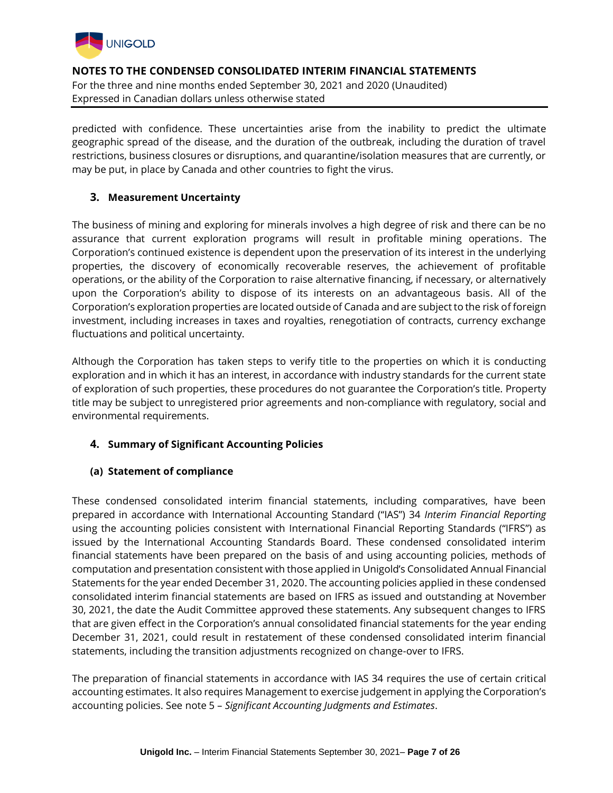

predicted with confidence. These uncertainties arise from the inability to predict the ultimate geographic spread of the disease, and the duration of the outbreak, including the duration of travel restrictions, business closures or disruptions, and quarantine/isolation measures that are currently, or may be put, in place by Canada and other countries to fight the virus.

## **3. Measurement Uncertainty**

The business of mining and exploring for minerals involves a high degree of risk and there can be no assurance that current exploration programs will result in profitable mining operations. The Corporation's continued existence is dependent upon the preservation of its interest in the underlying properties, the discovery of economically recoverable reserves, the achievement of profitable operations, or the ability of the Corporation to raise alternative financing, if necessary, or alternatively upon the Corporation's ability to dispose of its interests on an advantageous basis. All of the Corporation's exploration properties are located outside of Canada and are subject to the risk of foreign investment, including increases in taxes and royalties, renegotiation of contracts, currency exchange fluctuations and political uncertainty.

Although the Corporation has taken steps to verify title to the properties on which it is conducting exploration and in which it has an interest, in accordance with industry standards for the current state of exploration of such properties, these procedures do not guarantee the Corporation's title. Property title may be subject to unregistered prior agreements and non-compliance with regulatory, social and environmental requirements.

# **4. Summary of Significant Accounting Policies**

## **(a) Statement of compliance**

These condensed consolidated interim financial statements, including comparatives, have been prepared in accordance with International Accounting Standard ("IAS") 34 *Interim Financial Reporting* using the accounting policies consistent with International Financial Reporting Standards ("IFRS") as issued by the International Accounting Standards Board. These condensed consolidated interim financial statements have been prepared on the basis of and using accounting policies, methods of computation and presentation consistent with those applied in Unigold's Consolidated Annual Financial Statements for the year ended December 31, 2020. The accounting policies applied in these condensed consolidated interim financial statements are based on IFRS as issued and outstanding at November 30, 2021, the date the Audit Committee approved these statements. Any subsequent changes to IFRS that are given effect in the Corporation's annual consolidated financial statements for the year ending December 31, 2021, could result in restatement of these condensed consolidated interim financial statements, including the transition adjustments recognized on change-over to IFRS.

The preparation of financial statements in accordance with IAS 34 requires the use of certain critical accounting estimates. It also requires Management to exercise judgement in applying the Corporation's accounting policies. See note 5 – *Significant Accounting Judgments and Estimates*.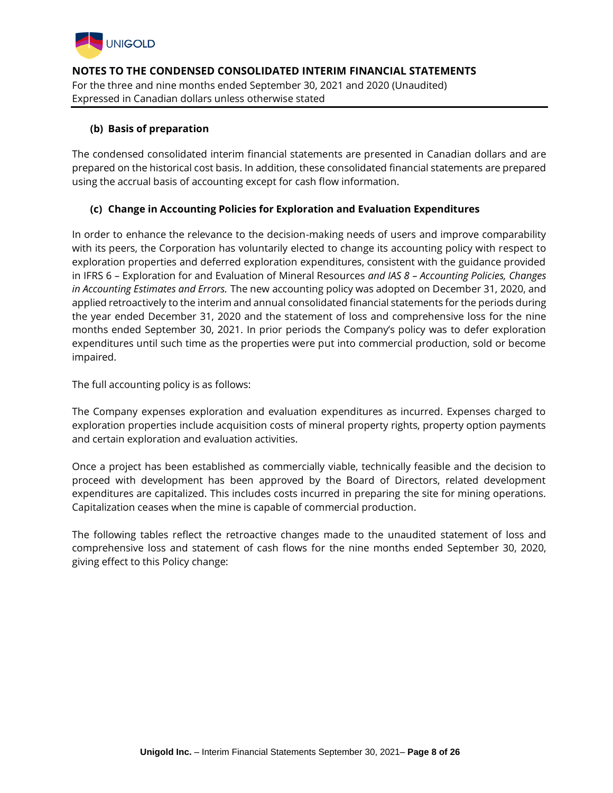

## **(b) Basis of preparation**

The condensed consolidated interim financial statements are presented in Canadian dollars and are prepared on the historical cost basis. In addition, these consolidated financial statements are prepared using the accrual basis of accounting except for cash flow information.

## **(c) Change in Accounting Policies for Exploration and Evaluation Expenditures**

In order to enhance the relevance to the decision-making needs of users and improve comparability with its peers, the Corporation has voluntarily elected to change its accounting policy with respect to exploration properties and deferred exploration expenditures, consistent with the guidance provided in IFRS 6 – Exploration for and Evaluation of Mineral Resources *and IAS 8 – Accounting Policies, Changes in Accounting Estimates and Errors.* The new accounting policy was adopted on December 31, 2020, and applied retroactively to the interim and annual consolidated financial statements for the periods during the year ended December 31, 2020 and the statement of loss and comprehensive loss for the nine months ended September 30, 2021. In prior periods the Company's policy was to defer exploration expenditures until such time as the properties were put into commercial production, sold or become impaired.

The full accounting policy is as follows:

The Company expenses exploration and evaluation expenditures as incurred. Expenses charged to exploration properties include acquisition costs of mineral property rights, property option payments and certain exploration and evaluation activities.

Once a project has been established as commercially viable, technically feasible and the decision to proceed with development has been approved by the Board of Directors, related development expenditures are capitalized. This includes costs incurred in preparing the site for mining operations. Capitalization ceases when the mine is capable of commercial production.

The following tables reflect the retroactive changes made to the unaudited statement of loss and comprehensive loss and statement of cash flows for the nine months ended September 30, 2020, giving effect to this Policy change: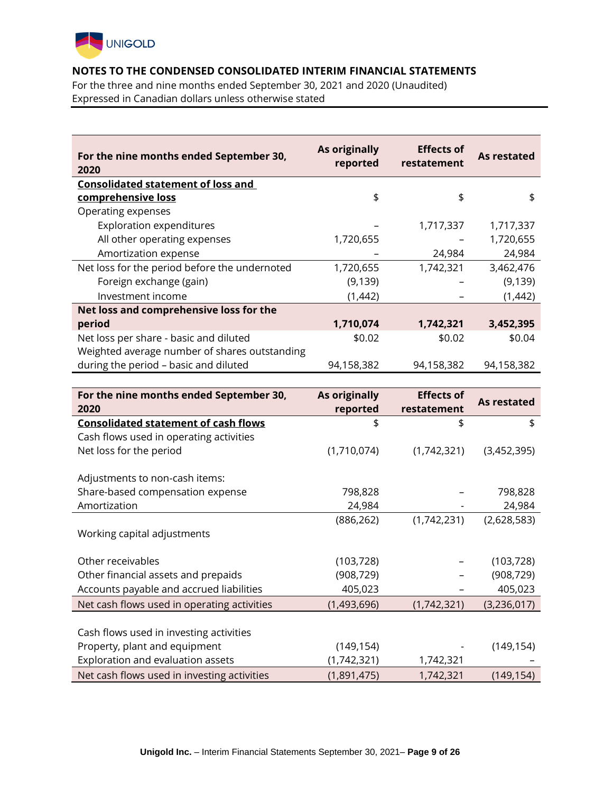

For the three and nine months ended September 30, 2021 and 2020 (Unaudited) Expressed in Canadian dollars unless otherwise stated

| For the nine months ended September 30,<br>2020 | As originally<br>reported | <b>Effects of</b><br>restatement | As restated |
|-------------------------------------------------|---------------------------|----------------------------------|-------------|
| <b>Consolidated statement of loss and</b>       |                           |                                  |             |
| comprehensive loss                              | \$                        | \$                               | \$          |
| Operating expenses                              |                           |                                  |             |
| <b>Exploration expenditures</b>                 |                           | 1,717,337                        | 1,717,337   |
| All other operating expenses                    | 1,720,655                 |                                  | 1,720,655   |
| Amortization expense                            |                           | 24,984                           | 24,984      |
| Net loss for the period before the undernoted   | 1,720,655                 | 1,742,321                        | 3,462,476   |
| Foreign exchange (gain)                         | (9, 139)                  |                                  | (9, 139)    |
| Investment income                               | (1,442)                   |                                  | (1, 442)    |
| Net loss and comprehensive loss for the         |                           |                                  |             |
| period                                          | 1,710,074                 | 1,742,321                        | 3,452,395   |
| Net loss per share - basic and diluted          | \$0.02                    | \$0.02                           | \$0.04      |
| Weighted average number of shares outstanding   |                           |                                  |             |
| during the period - basic and diluted           | 94,158,382                | 94,158,382                       | 94,158,382  |
|                                                 |                           |                                  |             |

| For the nine months ended September 30,     | As originally | <b>Effects of</b> | As restated |
|---------------------------------------------|---------------|-------------------|-------------|
| 2020                                        | reported      | restatement       |             |
| <b>Consolidated statement of cash flows</b> | \$            | \$                | \$          |
| Cash flows used in operating activities     |               |                   |             |
| Net loss for the period                     | (1,710,074)   | (1,742,321)       | (3,452,395) |
|                                             |               |                   |             |
| Adjustments to non-cash items:              |               |                   |             |
| Share-based compensation expense            | 798,828       |                   | 798,828     |
| Amortization                                | 24,984        |                   | 24,984      |
|                                             | (886, 262)    | (1,742,231)       | (2,628,583) |
| Working capital adjustments                 |               |                   |             |
|                                             |               |                   |             |
| Other receivables                           | (103, 728)    |                   | (103, 728)  |
| Other financial assets and prepaids         | (908, 729)    |                   | (908, 729)  |
| Accounts payable and accrued liabilities    | 405,023       |                   | 405,023     |
| Net cash flows used in operating activities | (1,493,696)   | (1,742,321)       | (3,236,017) |
|                                             |               |                   |             |
| Cash flows used in investing activities     |               |                   |             |
| Property, plant and equipment               | (149, 154)    |                   | (149, 154)  |
| Exploration and evaluation assets           | (1,742,321)   | 1,742,321         |             |
| Net cash flows used in investing activities | (1,891,475)   | 1,742,321         | (149, 154)  |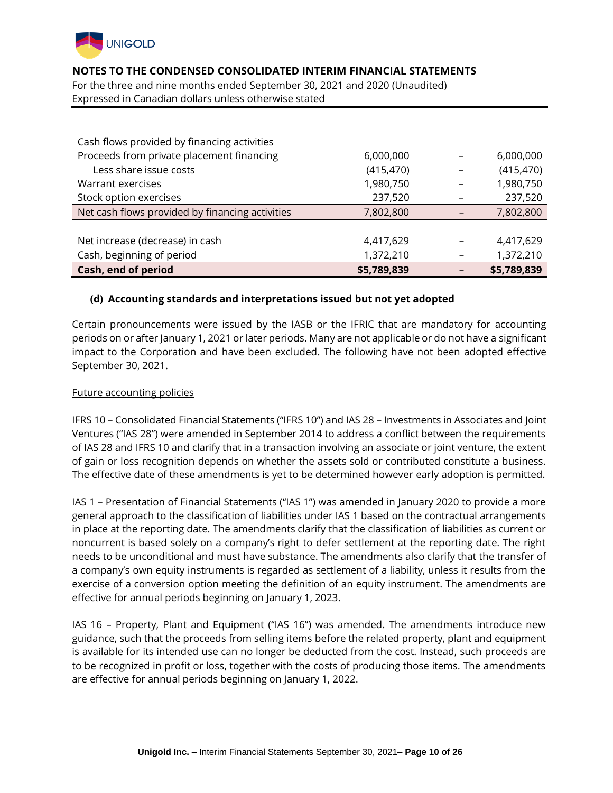

For the three and nine months ended September 30, 2021 and 2020 (Unaudited) Expressed in Canadian dollars unless otherwise stated

| Cash flows provided by financing activities     |             |             |
|-------------------------------------------------|-------------|-------------|
| Proceeds from private placement financing       | 6,000,000   | 6,000,000   |
| Less share issue costs                          | (415, 470)  | (415, 470)  |
| Warrant exercises                               | 1,980,750   | 1,980,750   |
| Stock option exercises                          | 237,520     | 237,520     |
| Net cash flows provided by financing activities | 7,802,800   | 7,802,800   |
|                                                 |             |             |
| Net increase (decrease) in cash                 | 4,417,629   | 4,417,629   |
| Cash, beginning of period                       | 1,372,210   | 1,372,210   |
| Cash, end of period                             | \$5,789,839 | \$5,789,839 |

#### **(d) Accounting standards and interpretations issued but not yet adopted**

Certain pronouncements were issued by the IASB or the IFRIC that are mandatory for accounting periods on or after January 1, 2021 or later periods. Many are not applicable or do not have a significant impact to the Corporation and have been excluded. The following have not been adopted effective September 30, 2021.

#### Future accounting policies

IFRS 10 – Consolidated Financial Statements ("IFRS 10") and IAS 28 – Investments in Associates and Joint Ventures ("IAS 28") were amended in September 2014 to address a conflict between the requirements of IAS 28 and IFRS 10 and clarify that in a transaction involving an associate or joint venture, the extent of gain or loss recognition depends on whether the assets sold or contributed constitute a business. The effective date of these amendments is yet to be determined however early adoption is permitted.

IAS 1 – Presentation of Financial Statements ("IAS 1") was amended in January 2020 to provide a more general approach to the classification of liabilities under IAS 1 based on the contractual arrangements in place at the reporting date. The amendments clarify that the classification of liabilities as current or noncurrent is based solely on a company's right to defer settlement at the reporting date. The right needs to be unconditional and must have substance. The amendments also clarify that the transfer of a company's own equity instruments is regarded as settlement of a liability, unless it results from the exercise of a conversion option meeting the definition of an equity instrument. The amendments are effective for annual periods beginning on January 1, 2023.

IAS 16 – Property, Plant and Equipment ("IAS 16") was amended. The amendments introduce new guidance, such that the proceeds from selling items before the related property, plant and equipment is available for its intended use can no longer be deducted from the cost. Instead, such proceeds are to be recognized in profit or loss, together with the costs of producing those items. The amendments are effective for annual periods beginning on January 1, 2022.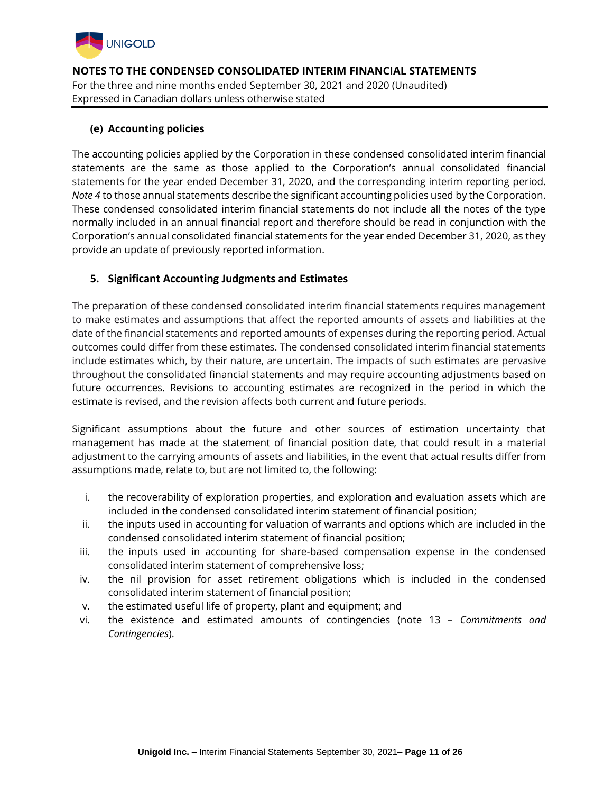

## **(e) Accounting policies**

The accounting policies applied by the Corporation in these condensed consolidated interim financial statements are the same as those applied to the Corporation's annual consolidated financial statements for the year ended December 31, 2020, and the corresponding interim reporting period. *Note 4* to those annual statements describe the significant accounting policies used by the Corporation. These condensed consolidated interim financial statements do not include all the notes of the type normally included in an annual financial report and therefore should be read in conjunction with the Corporation's annual consolidated financial statements for the year ended December 31, 2020, as they provide an update of previously reported information.

## **5. Significant Accounting Judgments and Estimates**

The preparation of these condensed consolidated interim financial statements requires management to make estimates and assumptions that affect the reported amounts of assets and liabilities at the date of the financial statements and reported amounts of expenses during the reporting period. Actual outcomes could differ from these estimates. The condensed consolidated interim financial statements include estimates which, by their nature, are uncertain. The impacts of such estimates are pervasive throughout the consolidated financial statements and may require accounting adjustments based on future occurrences. Revisions to accounting estimates are recognized in the period in which the estimate is revised, and the revision affects both current and future periods.

Significant assumptions about the future and other sources of estimation uncertainty that management has made at the statement of financial position date, that could result in a material adjustment to the carrying amounts of assets and liabilities, in the event that actual results differ from assumptions made, relate to, but are not limited to, the following:

- i. the recoverability of exploration properties, and exploration and evaluation assets which are included in the condensed consolidated interim statement of financial position;
- ii. the inputs used in accounting for valuation of warrants and options which are included in the condensed consolidated interim statement of financial position;
- iii. the inputs used in accounting for share-based compensation expense in the condensed consolidated interim statement of comprehensive loss;
- iv. the nil provision for asset retirement obligations which is included in the condensed consolidated interim statement of financial position;
- v. the estimated useful life of property, plant and equipment; and
- vi. the existence and estimated amounts of contingencies (note 13 *Commitments and Contingencies*).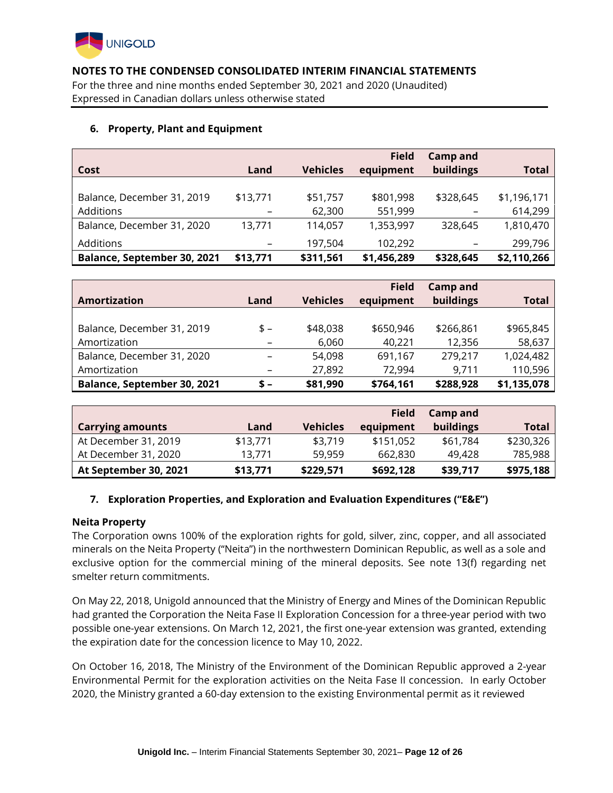

For the three and nine months ended September 30, 2021 and 2020 (Unaudited) Expressed in Canadian dollars unless otherwise stated

## **6. Property, Plant and Equipment**

| Cost                        | Land     | <b>Vehicles</b> | <b>Field</b><br>equipment | <b>Camp and</b><br>buildings | <b>Total</b> |
|-----------------------------|----------|-----------------|---------------------------|------------------------------|--------------|
|                             |          |                 |                           |                              |              |
| Balance, December 31, 2019  | \$13,771 | \$51,757        | \$801,998                 | \$328,645                    | \$1,196,171  |
| Additions                   |          | 62,300          | 551,999                   | -                            | 614,299      |
| Balance, December 31, 2020  | 13.771   | 114,057         | 1,353,997                 | 328,645                      | 1,810,470    |
| Additions                   | -        | 197,504         | 102,292                   | -                            | 299,796      |
| Balance, September 30, 2021 | \$13,771 | \$311,561       | \$1,456,289               | \$328,645                    | \$2,110,266  |

|                             |                          |                 | <b>Field</b> | <b>Camp and</b> |              |
|-----------------------------|--------------------------|-----------------|--------------|-----------------|--------------|
| Amortization                | Land                     | <b>Vehicles</b> | equipment    | buildings       | <b>Total</b> |
|                             |                          |                 |              |                 |              |
| Balance, December 31, 2019  | $s -$                    | \$48,038        | \$650,946    | \$266,861       | \$965,845    |
| Amortization                |                          | 6,060           | 40,221       | 12,356          | 58,637       |
| Balance, December 31, 2020  |                          | 54,098          | 691,167      | 279,217         | 1,024,482    |
| Amortization                | $\overline{\phantom{m}}$ | 27,892          | 72,994       | 9,711           | 110,596      |
| Balance, September 30, 2021 | $s -$                    | \$81,990        | \$764,161    | \$288,928       | \$1,135,078  |

|                         |          |                 | <b>Field</b> | Camp and  |              |
|-------------------------|----------|-----------------|--------------|-----------|--------------|
| <b>Carrying amounts</b> | Land     | <b>Vehicles</b> | equipment    | buildings | <b>Total</b> |
| At December 31, 2019    | \$13,771 | \$3,719         | \$151,052    | \$61,784  | \$230,326    |
| At December 31, 2020    | 13.771   | 59.959          | 662,830      | 49.428    | 785,988      |
| At September 30, 2021   | \$13,771 | \$229,571       | \$692,128    | \$39,717  | \$975,188    |

## **7. Exploration Properties, and Exploration and Evaluation Expenditures ("E&E")**

#### **Neita Property**

The Corporation owns 100% of the exploration rights for gold, silver, zinc, copper, and all associated minerals on the Neita Property ("Neita") in the northwestern Dominican Republic, as well as a sole and exclusive option for the commercial mining of the mineral deposits. See note 13(f) regarding net smelter return commitments.

On May 22, 2018, Unigold announced that the Ministry of Energy and Mines of the Dominican Republic had granted the Corporation the Neita Fase II Exploration Concession for a three-year period with two possible one-year extensions. On March 12, 2021, the first one-year extension was granted, extending the expiration date for the concession licence to May 10, 2022.

On October 16, 2018, The Ministry of the Environment of the Dominican Republic approved a 2-year Environmental Permit for the exploration activities on the Neita Fase II concession. In early October 2020, the Ministry granted a 60-day extension to the existing Environmental permit as it reviewed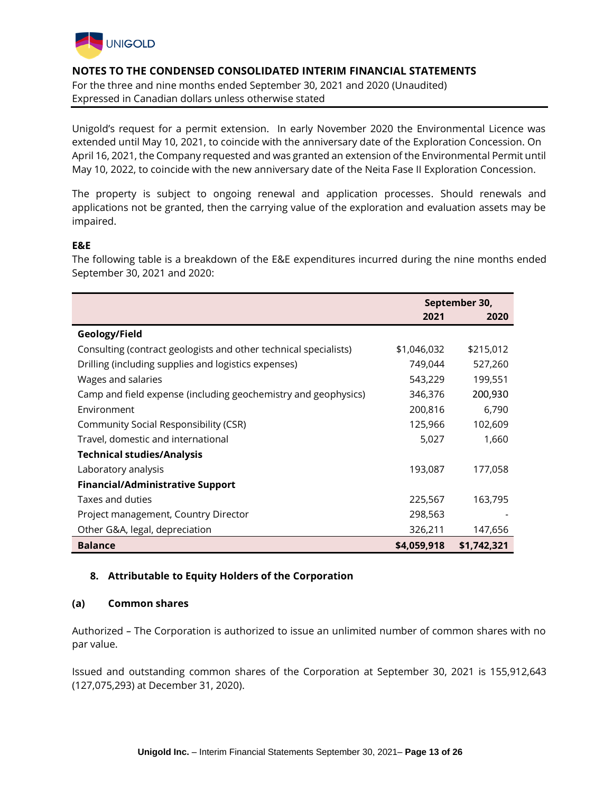

For the three and nine months ended September 30, 2021 and 2020 (Unaudited) Expressed in Canadian dollars unless otherwise stated

Unigold's request for a permit extension. In early November 2020 the Environmental Licence was extended until May 10, 2021, to coincide with the anniversary date of the Exploration Concession. On April 16, 2021, the Company requested and was granted an extension of the Environmental Permit until May 10, 2022, to coincide with the new anniversary date of the Neita Fase II Exploration Concession.

The property is subject to ongoing renewal and application processes. Should renewals and applications not be granted, then the carrying value of the exploration and evaluation assets may be impaired.

## **E&E**

The following table is a breakdown of the E&E expenditures incurred during the nine months ended September 30, 2021 and 2020:

|                                                                  |             | September 30, |
|------------------------------------------------------------------|-------------|---------------|
|                                                                  | 2021        | 2020          |
| Geology/Field                                                    |             |               |
| Consulting (contract geologists and other technical specialists) | \$1,046,032 | \$215,012     |
| Drilling (including supplies and logistics expenses)             | 749,044     | 527,260       |
| Wages and salaries                                               | 543,229     | 199,551       |
| Camp and field expense (including geochemistry and geophysics)   | 346,376     | 200,930       |
| Environment                                                      | 200,816     | 6,790         |
| Community Social Responsibility (CSR)                            | 125,966     | 102,609       |
| Travel, domestic and international                               | 5,027       | 1,660         |
| <b>Technical studies/Analysis</b>                                |             |               |
| Laboratory analysis                                              | 193,087     | 177,058       |
| <b>Financial/Administrative Support</b>                          |             |               |
| Taxes and duties                                                 | 225,567     | 163,795       |
| Project management, Country Director                             | 298,563     |               |
| Other G&A, legal, depreciation                                   | 326,211     | 147,656       |
| <b>Balance</b>                                                   | \$4,059,918 | \$1,742,321   |

## **8. Attributable to Equity Holders of the Corporation**

## **(a) Common shares**

Authorized *–* The Corporation is authorized to issue an unlimited number of common shares with no par value.

Issued and outstanding common shares of the Corporation at September 30, 2021 is 155,912,643 (127,075,293) at December 31, 2020).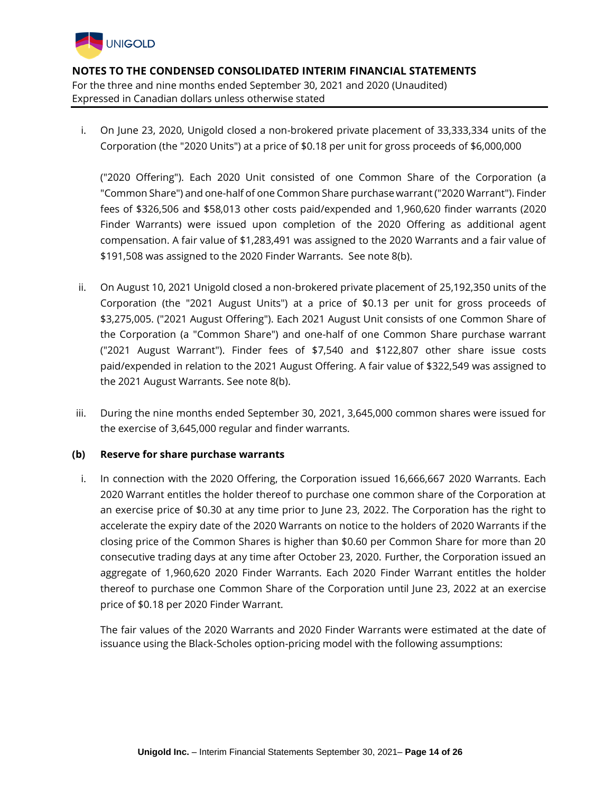

i. On June 23, 2020, Unigold closed a non-brokered private placement of 33,333,334 units of the Corporation (the "2020 Units") at a price of \$0.18 per unit for gross proceeds of \$6,000,000

("2020 Offering"). Each 2020 Unit consisted of one Common Share of the Corporation (a "Common Share") and one-half of one Common Share purchase warrant ("2020 Warrant"). Finder fees of \$326,506 and \$58,013 other costs paid/expended and 1,960,620 finder warrants (2020 Finder Warrants) were issued upon completion of the 2020 Offering as additional agent compensation. A fair value of \$1,283,491 was assigned to the 2020 Warrants and a fair value of \$191,508 was assigned to the 2020 Finder Warrants. See note 8(b).

- ii. On August 10, 2021 Unigold closed a non-brokered private placement of 25,192,350 units of the Corporation (the "2021 August Units") at a price of \$0.13 per unit for gross proceeds of \$3,275,005. ("2021 August Offering"). Each 2021 August Unit consists of one Common Share of the Corporation (a "Common Share") and one-half of one Common Share purchase warrant ("2021 August Warrant"). Finder fees of \$7,540 and \$122,807 other share issue costs paid/expended in relation to the 2021 August Offering. A fair value of \$322,549 was assigned to the 2021 August Warrants. See note 8(b).
- iii. During the nine months ended September 30, 2021, 3,645,000 common shares were issued for the exercise of 3,645,000 regular and finder warrants.

#### **(b) Reserve for share purchase warrants**

i. In connection with the 2020 Offering, the Corporation issued 16,666,667 2020 Warrants. Each 2020 Warrant entitles the holder thereof to purchase one common share of the Corporation at an exercise price of \$0.30 at any time prior to June 23, 2022. The Corporation has the right to accelerate the expiry date of the 2020 Warrants on notice to the holders of 2020 Warrants if the closing price of the Common Shares is higher than \$0.60 per Common Share for more than 20 consecutive trading days at any time after October 23, 2020. Further, the Corporation issued an aggregate of 1,960,620 2020 Finder Warrants. Each 2020 Finder Warrant entitles the holder thereof to purchase one Common Share of the Corporation until June 23, 2022 at an exercise price of \$0.18 per 2020 Finder Warrant.

The fair values of the 2020 Warrants and 2020 Finder Warrants were estimated at the date of issuance using the Black-Scholes option-pricing model with the following assumptions: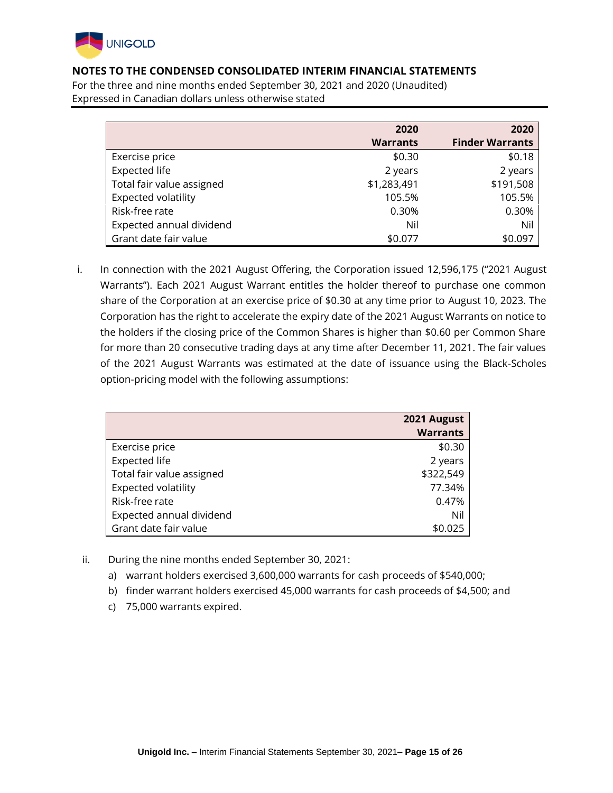

For the three and nine months ended September 30, 2021 and 2020 (Unaudited) Expressed in Canadian dollars unless otherwise stated

|                           | 2020            | 2020                   |
|---------------------------|-----------------|------------------------|
|                           | <b>Warrants</b> | <b>Finder Warrants</b> |
| Exercise price            | \$0.30          | \$0.18                 |
| Expected life             | 2 years         | 2 years                |
| Total fair value assigned | \$1,283,491     | \$191,508              |
| Expected volatility       | 105.5%          | 105.5%                 |
| Risk-free rate            | 0.30%           | 0.30%                  |
| Expected annual dividend  | Nil             | Nil                    |
| Grant date fair value     | \$0.077         | \$0.097                |

i. In connection with the 2021 August Offering, the Corporation issued 12,596,175 ("2021 August Warrants"). Each 2021 August Warrant entitles the holder thereof to purchase one common share of the Corporation at an exercise price of \$0.30 at any time prior to August 10, 2023. The Corporation has the right to accelerate the expiry date of the 2021 August Warrants on notice to the holders if the closing price of the Common Shares is higher than \$0.60 per Common Share for more than 20 consecutive trading days at any time after December 11, 2021. The fair values of the 2021 August Warrants was estimated at the date of issuance using the Black-Scholes option-pricing model with the following assumptions:

|                           | 2021 August     |
|---------------------------|-----------------|
|                           | <b>Warrants</b> |
| Exercise price            | \$0.30          |
| <b>Expected life</b>      | 2 years         |
| Total fair value assigned | \$322,549       |
| Expected volatility       | 77.34%          |
| Risk-free rate            | 0.47%           |
| Expected annual dividend  | Nil             |
| Grant date fair value     | \$0.025         |

- ii. During the nine months ended September 30, 2021:
	- a) warrant holders exercised 3,600,000 warrants for cash proceeds of \$540,000;
	- b) finder warrant holders exercised 45,000 warrants for cash proceeds of \$4,500; and
	- c) 75,000 warrants expired.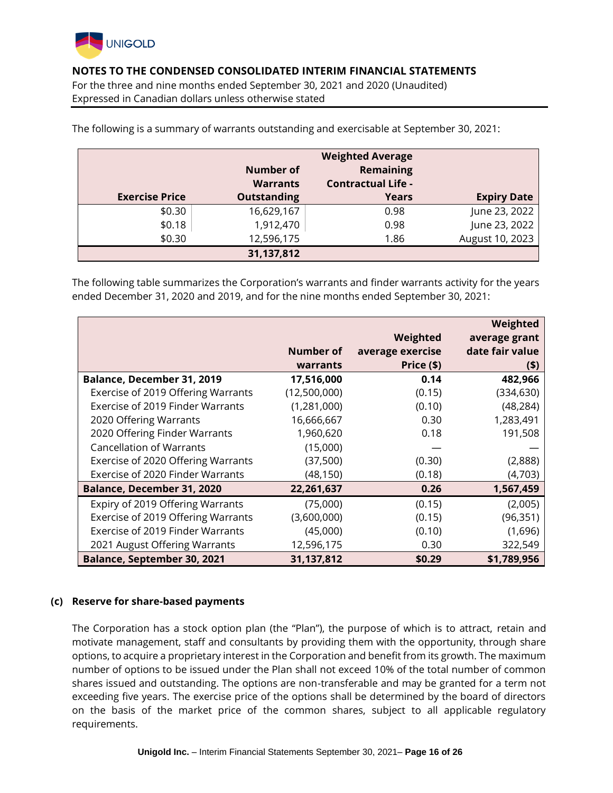

For the three and nine months ended September 30, 2021 and 2020 (Unaudited) Expressed in Canadian dollars unless otherwise stated

|                       |                    | <b>Weighted Average</b>   |                    |
|-----------------------|--------------------|---------------------------|--------------------|
|                       | <b>Number of</b>   | Remaining                 |                    |
|                       | <b>Warrants</b>    | <b>Contractual Life -</b> |                    |
| <b>Exercise Price</b> | <b>Outstanding</b> | <b>Years</b>              | <b>Expiry Date</b> |
| \$0.30                | 16,629,167         | 0.98                      | June 23, 2022      |
| \$0.18                | 1,912,470          | 0.98                      | June 23, 2022      |
| \$0.30                | 12,596,175         | 1.86                      | August 10, 2023    |
|                       | 31,137,812         |                           |                    |

The following is a summary of warrants outstanding and exercisable at September 30, 2021:

The following table summarizes the Corporation's warrants and finder warrants activity for the years ended December 31, 2020 and 2019, and for the nine months ended September 30, 2021:

|                                    |              |                  | Weighted        |
|------------------------------------|--------------|------------------|-----------------|
|                                    |              | Weighted         | average grant   |
|                                    | Number of    | average exercise | date fair value |
|                                    | warrants     | Price (\$)       | $($ \$)         |
| Balance, December 31, 2019         | 17,516,000   | 0.14             | 482,966         |
| Exercise of 2019 Offering Warrants | (12,500,000) | (0.15)           | (334, 630)      |
| Exercise of 2019 Finder Warrants   | (1,281,000)  | (0.10)           | (48, 284)       |
| 2020 Offering Warrants             | 16,666,667   | 0.30             | 1,283,491       |
| 2020 Offering Finder Warrants      | 1,960,620    | 0.18             | 191,508         |
| <b>Cancellation of Warrants</b>    | (15,000)     |                  |                 |
| Exercise of 2020 Offering Warrants | (37,500)     | (0.30)           | (2,888)         |
| Exercise of 2020 Finder Warrants   | (48, 150)    | (0.18)           | (4,703)         |
| <b>Balance, December 31, 2020</b>  | 22,261,637   | 0.26             | 1,567,459       |
| Expiry of 2019 Offering Warrants   | (75,000)     | (0.15)           | (2,005)         |
| Exercise of 2019 Offering Warrants | (3,600,000)  | (0.15)           | (96, 351)       |
| Exercise of 2019 Finder Warrants   | (45,000)     | (0.10)           | (1,696)         |
| 2021 August Offering Warrants      | 12,596,175   | 0.30             | 322,549         |
| <b>Balance, September 30, 2021</b> | 31,137,812   | \$0.29           | \$1,789,956     |

#### **(c) Reserve for share-based payments**

The Corporation has a stock option plan (the "Plan"), the purpose of which is to attract, retain and motivate management, staff and consultants by providing them with the opportunity, through share options, to acquire a proprietary interest in the Corporation and benefit from its growth. The maximum number of options to be issued under the Plan shall not exceed 10% of the total number of common shares issued and outstanding. The options are non-transferable and may be granted for a term not exceeding five years. The exercise price of the options shall be determined by the board of directors on the basis of the market price of the common shares, subject to all applicable regulatory requirements.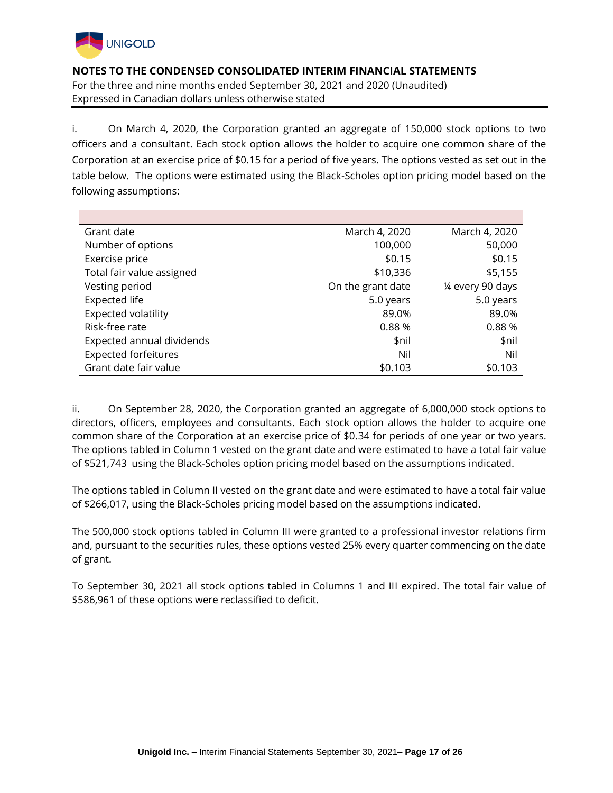

i. On March 4, 2020, the Corporation granted an aggregate of 150,000 stock options to two officers and a consultant. Each stock option allows the holder to acquire one common share of the Corporation at an exercise price of \$0.15 for a period of five years. The options vested as set out in the table below. The options were estimated using the Black-Scholes option pricing model based on the following assumptions:

| Grant date                  | March 4, 2020     | March 4, 2020     |
|-----------------------------|-------------------|-------------------|
| Number of options           | 100,000           | 50,000            |
| Exercise price              | \$0.15            | \$0.15            |
| Total fair value assigned   | \$10,336          | \$5,155           |
| Vesting period              | On the grant date | 1/4 every 90 days |
| <b>Expected life</b>        | 5.0 years         | 5.0 years         |
| Expected volatility         | 89.0%             | 89.0%             |
| Risk-free rate              | 0.88%             | 0.88%             |
| Expected annual dividends   | \$nil             | \$nil             |
| <b>Expected forfeitures</b> | Nil               | Nil               |
| Grant date fair value       | \$0.103           | \$0.103           |

ii. On September 28, 2020, the Corporation granted an aggregate of 6,000,000 stock options to directors, officers, employees and consultants. Each stock option allows the holder to acquire one common share of the Corporation at an exercise price of \$0.34 for periods of one year or two years. The options tabled in Column 1 vested on the grant date and were estimated to have a total fair value of \$521,743 using the Black-Scholes option pricing model based on the assumptions indicated.

The options tabled in Column II vested on the grant date and were estimated to have a total fair value of \$266,017, using the Black-Scholes pricing model based on the assumptions indicated.

The 500,000 stock options tabled in Column III were granted to a professional investor relations firm and, pursuant to the securities rules, these options vested 25% every quarter commencing on the date of grant.

To September 30, 2021 all stock options tabled in Columns 1 and III expired. The total fair value of \$586,961 of these options were reclassified to deficit.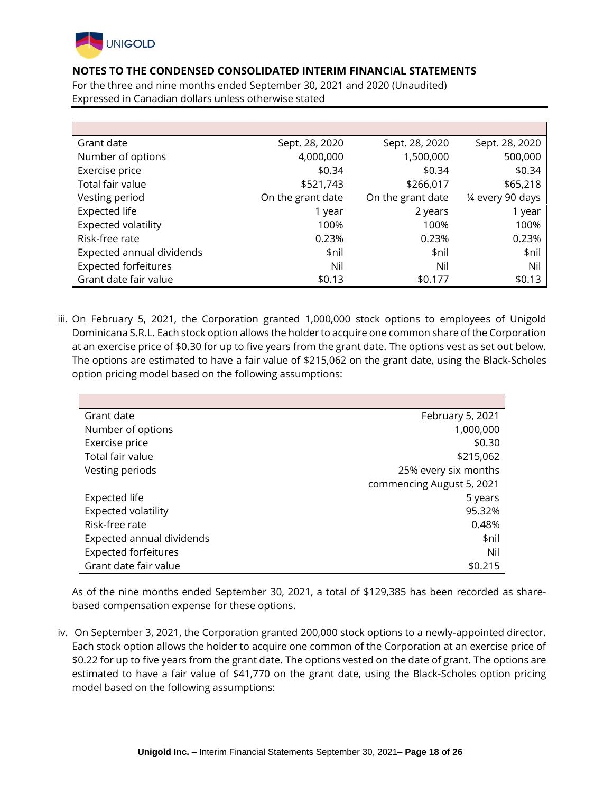

For the three and nine months ended September 30, 2021 and 2020 (Unaudited) Expressed in Canadian dollars unless otherwise stated

| Grant date                  | Sept. 28, 2020    | Sept. 28, 2020    | Sept. 28, 2020    |
|-----------------------------|-------------------|-------------------|-------------------|
| Number of options           | 4,000,000         | 1,500,000         | 500,000           |
| Exercise price              | \$0.34            | \$0.34            | \$0.34            |
| Total fair value            | \$521,743         | \$266,017         | \$65,218          |
| Vesting period              | On the grant date | On the grant date | 1⁄4 every 90 days |
| <b>Expected life</b>        | 1 year            | 2 years           | 1 year            |
| Expected volatility         | 100%              | 100%              | 100%              |
| Risk-free rate              | 0.23%             | 0.23%             | 0.23%             |
| Expected annual dividends   | \$nil             | \$nil             | \$nil             |
| <b>Expected forfeitures</b> | Nil               | Nil               | Nil               |
| Grant date fair value       | \$0.13            | \$0.177           | \$0.13            |

iii. On February 5, 2021, the Corporation granted 1,000,000 stock options to employees of Unigold Dominicana S.R.L. Each stock option allows the holder to acquire one common share of the Corporation at an exercise price of \$0.30 for up to five years from the grant date. The options vest as set out below. The options are estimated to have a fair value of \$215,062 on the grant date, using the Black-Scholes option pricing model based on the following assumptions:

| Grant date                  | February 5, 2021          |
|-----------------------------|---------------------------|
| Number of options           | 1,000,000                 |
| Exercise price              | \$0.30                    |
| Total fair value            | \$215,062                 |
| Vesting periods             | 25% every six months      |
|                             | commencing August 5, 2021 |
| <b>Expected life</b>        | 5 years                   |
| Expected volatility         | 95.32%                    |
| Risk-free rate              | 0.48%                     |
| Expected annual dividends   | \$nil                     |
| <b>Expected forfeitures</b> | Nil                       |
| Grant date fair value       | \$0.215                   |

As of the nine months ended September 30, 2021, a total of \$129,385 has been recorded as sharebased compensation expense for these options.

iv. On September 3, 2021, the Corporation granted 200,000 stock options to a newly-appointed director. Each stock option allows the holder to acquire one common of the Corporation at an exercise price of \$0.22 for up to five years from the grant date. The options vested on the date of grant. The options are estimated to have a fair value of \$41,770 on the grant date, using the Black-Scholes option pricing model based on the following assumptions: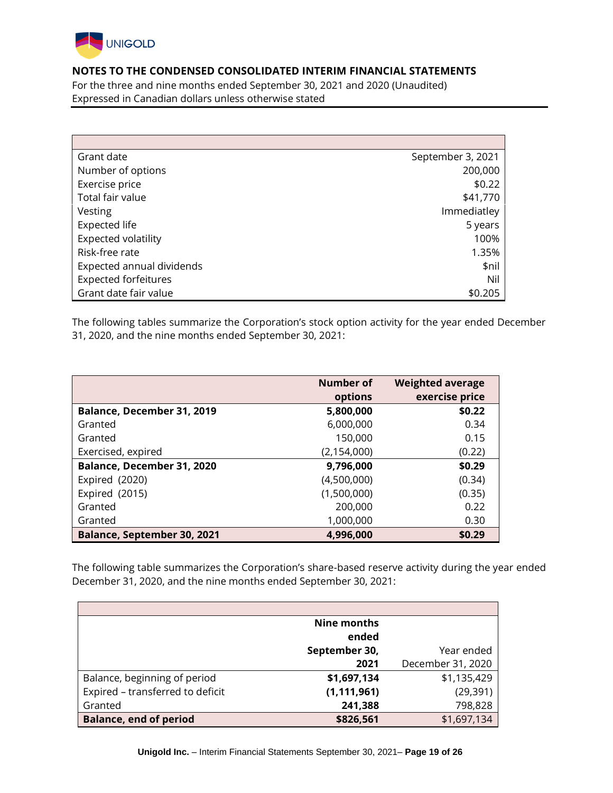

For the three and nine months ended September 30, 2021 and 2020 (Unaudited) Expressed in Canadian dollars unless otherwise stated

| Grant date                  | September 3, 2021 |
|-----------------------------|-------------------|
| Number of options           | 200,000           |
| Exercise price              | \$0.22            |
| Total fair value            | \$41,770          |
| Vesting                     | Immediatley       |
| <b>Expected life</b>        | 5 years           |
| Expected volatility         | 100%              |
| Risk-free rate              | 1.35%             |
| Expected annual dividends   | \$nil             |
| <b>Expected forfeitures</b> | Nil               |
| Grant date fair value       | \$0.205           |

The following tables summarize the Corporation's stock option activity for the year ended December 31, 2020, and the nine months ended September 30, 2021:

|                                    | Number of     | <b>Weighted average</b> |
|------------------------------------|---------------|-------------------------|
|                                    | options       | exercise price          |
| Balance, December 31, 2019         | 5,800,000     | \$0.22                  |
| Granted                            | 6,000,000     | 0.34                    |
| Granted                            | 150,000       | 0.15                    |
| Exercised, expired                 | (2, 154, 000) | (0.22)                  |
| Balance, December 31, 2020         | 9,796,000     | \$0.29                  |
| Expired (2020)                     | (4,500,000)   | (0.34)                  |
| Expired (2015)                     | (1,500,000)   | (0.35)                  |
| Granted                            | 200,000       | 0.22                    |
| Granted                            | 1,000,000     | 0.30                    |
| <b>Balance, September 30, 2021</b> | 4,996,000     | \$0.29                  |

The following table summarizes the Corporation's share-based reserve activity during the year ended December 31, 2020, and the nine months ended September 30, 2021:

|                                  | <b>Nine months</b> |                   |
|----------------------------------|--------------------|-------------------|
|                                  | ended              |                   |
|                                  | September 30,      | Year ended        |
|                                  | 2021               | December 31, 2020 |
| Balance, beginning of period     | \$1,697,134        | \$1,135,429       |
| Expired - transferred to deficit | (1, 111, 961)      | (29, 391)         |
| Granted                          | 241,388            | 798,828           |
| <b>Balance, end of period</b>    | \$826,561          | \$1,697,134       |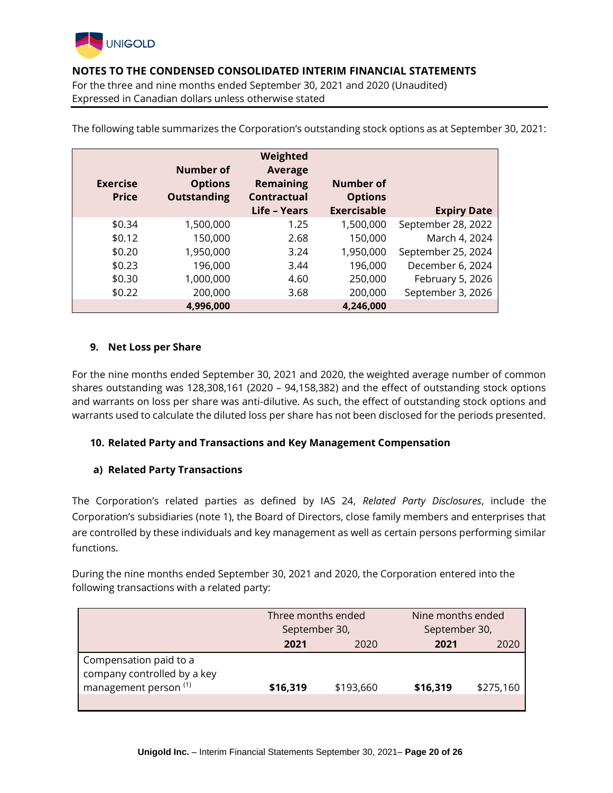

For the three and nine months ended September 30, 2021 and 2020 (Unaudited) Expressed in Canadian dollars unless otherwise stated

| <b>Exercise</b><br><b>Price</b> | <b>Number of</b><br><b>Options</b><br><b>Outstanding</b> | Weighted<br><b>Average</b><br><b>Remaining</b><br><b>Contractual</b><br>Life - Years | <b>Number of</b><br><b>Options</b><br><b>Exercisable</b> | <b>Expiry Date</b> |
|---------------------------------|----------------------------------------------------------|--------------------------------------------------------------------------------------|----------------------------------------------------------|--------------------|
| \$0.34                          | 1,500,000                                                | 1.25                                                                                 | 1,500,000                                                | September 28, 2022 |
| \$0.12                          | 150,000                                                  | 2.68                                                                                 | 150,000                                                  | March 4, 2024      |
| \$0.20                          | 1,950,000                                                | 3.24                                                                                 | 1,950,000                                                | September 25, 2024 |
| \$0.23                          | 196,000                                                  | 3.44                                                                                 | 196,000                                                  | December 6, 2024   |
| \$0.30                          | 1,000,000                                                | 4.60                                                                                 | 250,000                                                  | February 5, 2026   |
| \$0.22                          | 200,000                                                  | 3.68                                                                                 | 200,000                                                  | September 3, 2026  |
|                                 | 4,996,000                                                |                                                                                      | 4,246,000                                                |                    |

The following table summarizes the Corporation's outstanding stock options as at September 30, 2021:

## **9. Net Loss per Share**

For the nine months ended September 30, 2021 and 2020, the weighted average number of common shares outstanding was 128,308,161 (2020 – 94,158,382) and the effect of outstanding stock options and warrants on loss per share was anti-dilutive. As such, the effect of outstanding stock options and warrants used to calculate the diluted loss per share has not been disclosed for the periods presented.

## **10. Related Party and Transactions and Key Management Compensation**

## **a) Related Party Transactions**

The Corporation's related parties as defined by IAS 24, *Related Party Disclosures*, include the Corporation's subsidiaries (note 1), the Board of Directors, close family members and enterprises that are controlled by these individuals and key management as well as certain persons performing similar functions.

During the nine months ended September 30, 2021 and 2020, the Corporation entered into the following transactions with a related party:

|                                                                                           | Three months ended |           | Nine months ended<br>September 30,<br>September 30, |           |  |
|-------------------------------------------------------------------------------------------|--------------------|-----------|-----------------------------------------------------|-----------|--|
|                                                                                           | 2021<br>2020       |           | 2021<br>2020                                        |           |  |
| Compensation paid to a<br>company controlled by a key<br>management person <sup>(1)</sup> | \$16,319           | \$193,660 | \$16,319                                            | \$275,160 |  |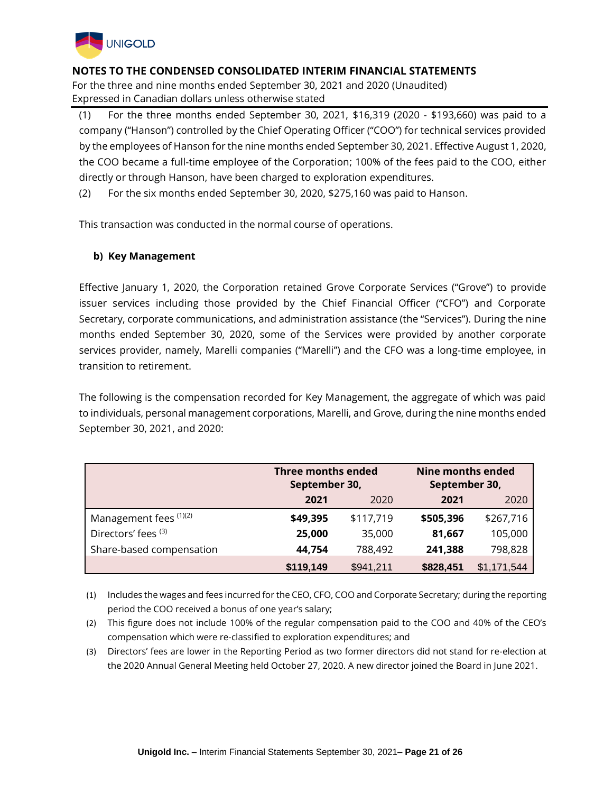

For the three and nine months ended September 30, 2021 and 2020 (Unaudited) Expressed in Canadian dollars unless otherwise stated

(1) For the three months ended September 30, 2021, \$16,319 (2020 - \$193,660) was paid to a company ("Hanson") controlled by the Chief Operating Officer ("COO") for technical services provided by the employees of Hanson for the nine months ended September 30, 2021. Effective August 1, 2020, the COO became a full-time employee of the Corporation; 100% of the fees paid to the COO, either directly or through Hanson, have been charged to exploration expenditures.

(2) For the six months ended September 30, 2020, \$275,160 was paid to Hanson.

This transaction was conducted in the normal course of operations.

## **b) Key Management**

Effective January 1, 2020, the Corporation retained Grove Corporate Services ("Grove") to provide issuer services including those provided by the Chief Financial Officer ("CFO") and Corporate Secretary, corporate communications, and administration assistance (the "Services"). During the nine months ended September 30, 2020, some of the Services were provided by another corporate services provider, namely, Marelli companies ("Marelli") and the CFO was a long-time employee, in transition to retirement.

The following is the compensation recorded for Key Management, the aggregate of which was paid to individuals, personal management corporations, Marelli, and Grove, during the nine months ended September 30, 2021, and 2020:

|                          | <b>Three months ended</b><br>September 30,<br>2021<br>2020 |           | <b>Nine months ended</b><br>September 30, |             |
|--------------------------|------------------------------------------------------------|-----------|-------------------------------------------|-------------|
|                          |                                                            |           | 2021                                      | 2020        |
| Management fees (1)(2)   | \$49,395                                                   | \$117,719 | \$505,396                                 | \$267,716   |
| Directors' fees (3)      | 25,000                                                     | 35,000    | 81,667                                    | 105,000     |
| Share-based compensation | 44,754                                                     | 788,492   | 241,388                                   | 798,828     |
|                          | \$119,149                                                  | \$941,211 | \$828,451                                 | \$1,171,544 |

(1) Includes the wages and fees incurred for the CEO, CFO, COO and Corporate Secretary; during the reporting period the COO received a bonus of one year's salary;

- (2) This figure does not include 100% of the regular compensation paid to the COO and 40% of the CEO's compensation which were re-classified to exploration expenditures; and
- (3) Directors' fees are lower in the Reporting Period as two former directors did not stand for re-election at the 2020 Annual General Meeting held October 27, 2020. A new director joined the Board in June 2021.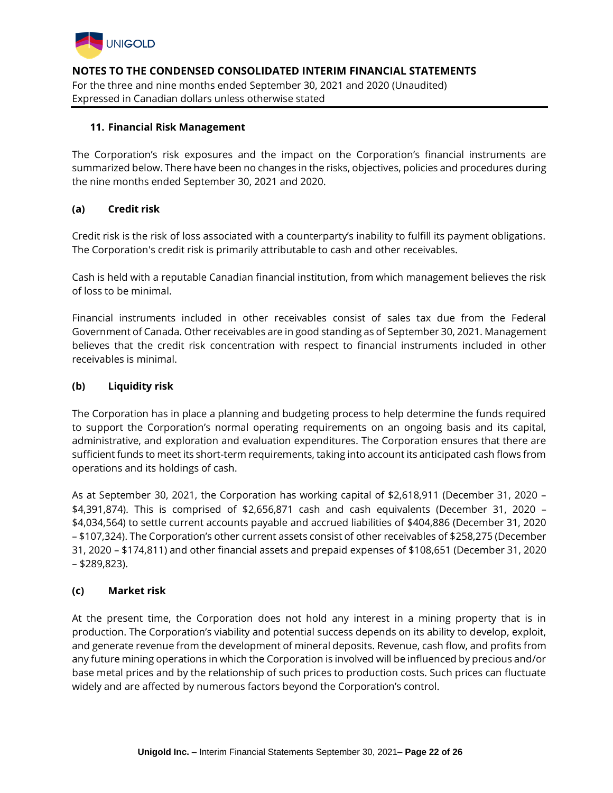

## **11. Financial Risk Management**

The Corporation's risk exposures and the impact on the Corporation's financial instruments are summarized below. There have been no changes in the risks, objectives, policies and procedures during the nine months ended September 30, 2021 and 2020.

## **(a) Credit risk**

Credit risk is the risk of loss associated with a counterparty's inability to fulfill its payment obligations. The Corporation's credit risk is primarily attributable to cash and other receivables.

Cash is held with a reputable Canadian financial institution, from which management believes the risk of loss to be minimal.

Financial instruments included in other receivables consist of sales tax due from the Federal Government of Canada. Other receivables are in good standing as of September 30, 2021. Management believes that the credit risk concentration with respect to financial instruments included in other receivables is minimal.

## **(b) Liquidity risk**

The Corporation has in place a planning and budgeting process to help determine the funds required to support the Corporation's normal operating requirements on an ongoing basis and its capital, administrative, and exploration and evaluation expenditures. The Corporation ensures that there are sufficient funds to meet its short-term requirements, taking into account its anticipated cash flows from operations and its holdings of cash.

As at September 30, 2021, the Corporation has working capital of \$2,618,911 (December 31, 2020 – \$4,391,874). This is comprised of \$2,656,871 cash and cash equivalents (December 31, 2020 – \$4,034,564) to settle current accounts payable and accrued liabilities of \$404,886 (December 31, 2020 – \$107,324). The Corporation's other current assets consist of other receivables of \$258,275 (December 31, 2020 – \$174,811) and other financial assets and prepaid expenses of \$108,651 (December 31, 2020 – \$289,823).

#### **(c) Market risk**

At the present time, the Corporation does not hold any interest in a mining property that is in production. The Corporation's viability and potential success depends on its ability to develop, exploit, and generate revenue from the development of mineral deposits. Revenue, cash flow, and profits from any future mining operations in which the Corporation is involved will be influenced by precious and/or base metal prices and by the relationship of such prices to production costs. Such prices can fluctuate widely and are affected by numerous factors beyond the Corporation's control.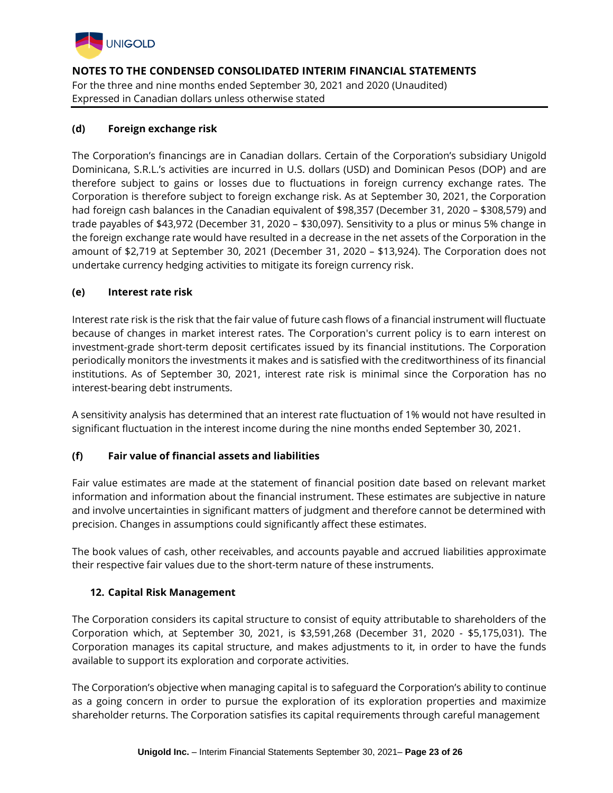

**NOTES TO THE CONDENSED CONSOLIDATED INTERIM FINANCIAL STATEMENTS** For the three and nine months ended September 30, 2021 and 2020 (Unaudited)

Expressed in Canadian dollars unless otherwise stated

## **(d) Foreign exchange risk**

The Corporation's financings are in Canadian dollars. Certain of the Corporation's subsidiary Unigold Dominicana, S.R.L.'s activities are incurred in U.S. dollars (USD) and Dominican Pesos (DOP) and are therefore subject to gains or losses due to fluctuations in foreign currency exchange rates. The Corporation is therefore subject to foreign exchange risk. As at September 30, 2021, the Corporation had foreign cash balances in the Canadian equivalent of \$98,357 (December 31, 2020 – \$308,579) and trade payables of \$43,972 (December 31, 2020 – \$30,097). Sensitivity to a plus or minus 5% change in the foreign exchange rate would have resulted in a decrease in the net assets of the Corporation in the amount of \$2,719 at September 30, 2021 (December 31, 2020 – \$13,924). The Corporation does not undertake currency hedging activities to mitigate its foreign currency risk.

## **(e) Interest rate risk**

Interest rate risk is the risk that the fair value of future cash flows of a financial instrument will fluctuate because of changes in market interest rates. The Corporation's current policy is to earn interest on investment-grade short-term deposit certificates issued by its financial institutions. The Corporation periodically monitors the investments it makes and is satisfied with the creditworthiness of its financial institutions. As of September 30, 2021, interest rate risk is minimal since the Corporation has no interest-bearing debt instruments.

A sensitivity analysis has determined that an interest rate fluctuation of 1% would not have resulted in significant fluctuation in the interest income during the nine months ended September 30, 2021.

# **(f) Fair value of financial assets and liabilities**

Fair value estimates are made at the statement of financial position date based on relevant market information and information about the financial instrument. These estimates are subjective in nature and involve uncertainties in significant matters of judgment and therefore cannot be determined with precision. Changes in assumptions could significantly affect these estimates.

The book values of cash, other receivables, and accounts payable and accrued liabilities approximate their respective fair values due to the short-term nature of these instruments.

# **12. Capital Risk Management**

The Corporation considers its capital structure to consist of equity attributable to shareholders of the Corporation which, at September 30, 2021, is \$3,591,268 (December 31, 2020 - \$5,175,031). The Corporation manages its capital structure, and makes adjustments to it, in order to have the funds available to support its exploration and corporate activities.

The Corporation's objective when managing capital is to safeguard the Corporation's ability to continue as a going concern in order to pursue the exploration of its exploration properties and maximize shareholder returns. The Corporation satisfies its capital requirements through careful management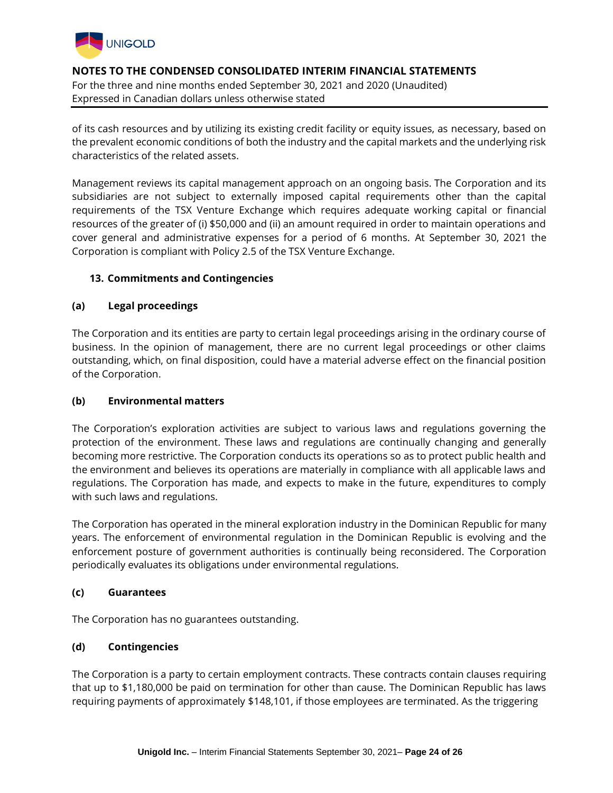

of its cash resources and by utilizing its existing credit facility or equity issues, as necessary, based on the prevalent economic conditions of both the industry and the capital markets and the underlying risk characteristics of the related assets.

Management reviews its capital management approach on an ongoing basis. The Corporation and its subsidiaries are not subject to externally imposed capital requirements other than the capital requirements of the TSX Venture Exchange which requires adequate working capital or financial resources of the greater of (i) \$50,000 and (ii) an amount required in order to maintain operations and cover general and administrative expenses for a period of 6 months. At September 30, 2021 the Corporation is compliant with Policy 2.5 of the TSX Venture Exchange.

## **13. Commitments and Contingencies**

## **(a) Legal proceedings**

The Corporation and its entities are party to certain legal proceedings arising in the ordinary course of business. In the opinion of management, there are no current legal proceedings or other claims outstanding, which, on final disposition, could have a material adverse effect on the financial position of the Corporation.

## **(b) Environmental matters**

The Corporation's exploration activities are subject to various laws and regulations governing the protection of the environment. These laws and regulations are continually changing and generally becoming more restrictive. The Corporation conducts its operations so as to protect public health and the environment and believes its operations are materially in compliance with all applicable laws and regulations. The Corporation has made, and expects to make in the future, expenditures to comply with such laws and regulations.

The Corporation has operated in the mineral exploration industry in the Dominican Republic for many years. The enforcement of environmental regulation in the Dominican Republic is evolving and the enforcement posture of government authorities is continually being reconsidered. The Corporation periodically evaluates its obligations under environmental regulations.

#### **(c) Guarantees**

The Corporation has no guarantees outstanding.

## **(d) Contingencies**

The Corporation is a party to certain employment contracts. These contracts contain clauses requiring that up to \$1,180,000 be paid on termination for other than cause. The Dominican Republic has laws requiring payments of approximately \$148,101, if those employees are terminated. As the triggering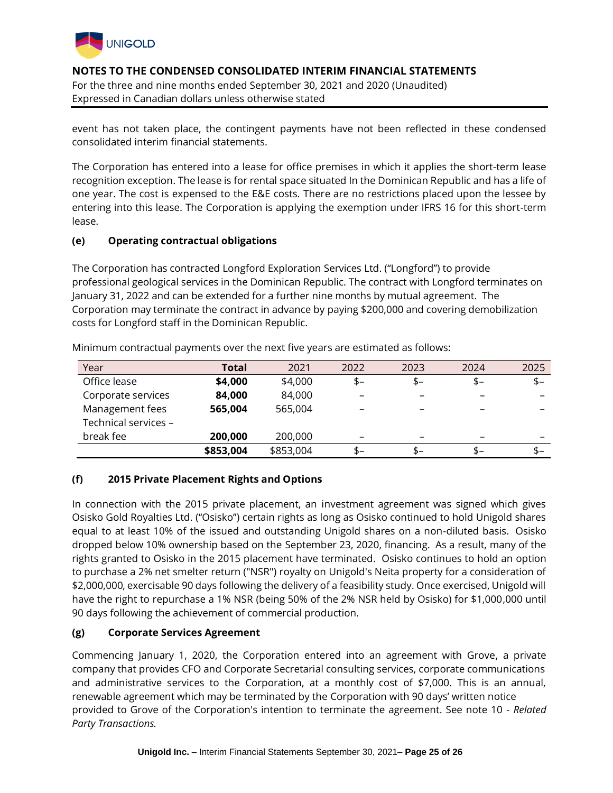

**NOTES TO THE CONDENSED CONSOLIDATED INTERIM FINANCIAL STATEMENTS** For the three and nine months ended September 30, 2021 and 2020 (Unaudited)

Expressed in Canadian dollars unless otherwise stated

event has not taken place, the contingent payments have not been reflected in these condensed consolidated interim financial statements.

The Corporation has entered into a lease for office premises in which it applies the short-term lease recognition exception. The lease is for rental space situated In the Dominican Republic and has a life of one year. The cost is expensed to the E&E costs. There are no restrictions placed upon the lessee by entering into this lease. The Corporation is applying the exemption under IFRS 16 for this short-term lease.

## **(e) Operating contractual obligations**

The Corporation has contracted Longford Exploration Services Ltd. ("Longford") to provide professional geological services in the Dominican Republic. The contract with Longford terminates on January 31, 2022 and can be extended for a further nine months by mutual agreement. The Corporation may terminate the contract in advance by paying \$200,000 and covering demobilization costs for Longford staff in the Dominican Republic.

| Year                 | Total     | 2021      | 2022 | 2023                     | 2024 | 2025                     |
|----------------------|-----------|-----------|------|--------------------------|------|--------------------------|
| Office lease         | \$4,000   | \$4,000   | $$-$ | \$-                      | \$-  | $$-$                     |
| Corporate services   | 84,000    | 84,000    |      | $\overline{\phantom{0}}$ |      |                          |
| Management fees      | 565,004   | 565,004   |      | $\overline{\phantom{0}}$ |      |                          |
| Technical services - |           |           |      |                          |      |                          |
| break fee            | 200,000   | 200,000   |      | -                        |      | $\overline{\phantom{0}}$ |
|                      | \$853,004 | \$853,004 | \$-  | \$–                      | \$–  | \$–                      |

Minimum contractual payments over the next five years are estimated as follows:

# **(f) 2015 Private Placement Rights and Options**

In connection with the 2015 private placement, an investment agreement was signed which gives Osisko Gold Royalties Ltd. ("Osisko") certain rights as long as Osisko continued to hold Unigold shares equal to at least 10% of the issued and outstanding Unigold shares on a non-diluted basis. Osisko dropped below 10% ownership based on the September 23, 2020, financing. As a result, many of the rights granted to Osisko in the 2015 placement have terminated. Osisko continues to hold an option to purchase a 2% net smelter return ("NSR") royalty on Unigold's Neita property for a consideration of \$2,000,000, exercisable 90 days following the delivery of a feasibility study. Once exercised, Unigold will have the right to repurchase a 1% NSR (being 50% of the 2% NSR held by Osisko) for \$1,000,000 until 90 days following the achievement of commercial production.

## **(g) Corporate Services Agreement**

Commencing January 1, 2020, the Corporation entered into an agreement with Grove, a private company that provides CFO and Corporate Secretarial consulting services, corporate communications and administrative services to the Corporation, at a monthly cost of \$7,000. This is an annual, renewable agreement which may be terminated by the Corporation with 90 days' written notice provided to Grove of the Corporation's intention to terminate the agreement. See note 10 - *Related Party Transactions.*